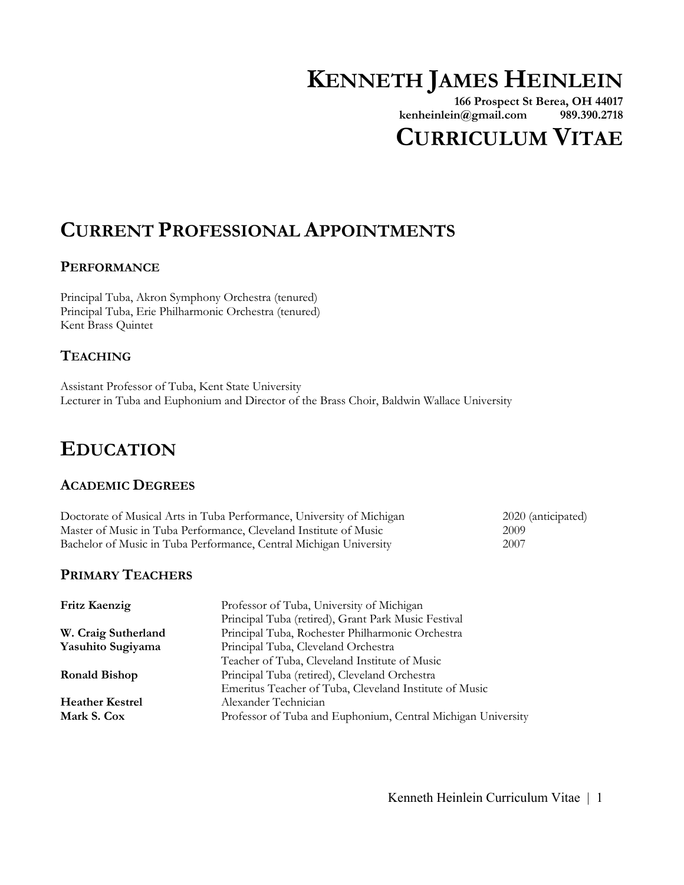# **KENNETH JAMES HEINLEIN**

**166 Prospect St Berea, OH 44017 kenheinlein@gmail.com 989.390.2718**

# **CURRICULUM VITAE**

# **CURRENT PROFESSIONAL APPOINTMENTS**

### **PERFORMANCE**

Principal Tuba, Akron Symphony Orchestra (tenured) Principal Tuba, Erie Philharmonic Orchestra (tenured) Kent Brass Quintet

## **TEACHING**

Assistant Professor of Tuba, Kent State University Lecturer in Tuba and Euphonium and Director of the Brass Choir, Baldwin Wallace University

# **EDUCATION**

#### **ACADEMIC DEGREES**

| Doctorate of Musical Arts in Tuba Performance, University of Michigan | 2020 (anticipated) |
|-----------------------------------------------------------------------|--------------------|
| Master of Music in Tuba Performance, Cleveland Institute of Music     | 2009               |
| Bachelor of Music in Tuba Performance, Central Michigan University    | 2007               |

### **PRIMARY TEACHERS**

| <b>Fritz Kaenzig</b>   | Professor of Tuba, University of Michigan                    |
|------------------------|--------------------------------------------------------------|
|                        | Principal Tuba (retired), Grant Park Music Festival          |
| W. Craig Sutherland    | Principal Tuba, Rochester Philharmonic Orchestra             |
| Yasuhito Sugiyama      | Principal Tuba, Cleveland Orchestra                          |
|                        | Teacher of Tuba, Cleveland Institute of Music                |
| <b>Ronald Bishop</b>   | Principal Tuba (retired), Cleveland Orchestra                |
|                        | Emeritus Teacher of Tuba, Cleveland Institute of Music       |
| <b>Heather Kestrel</b> | Alexander Technician                                         |
| Mark S. Cox            | Professor of Tuba and Euphonium, Central Michigan University |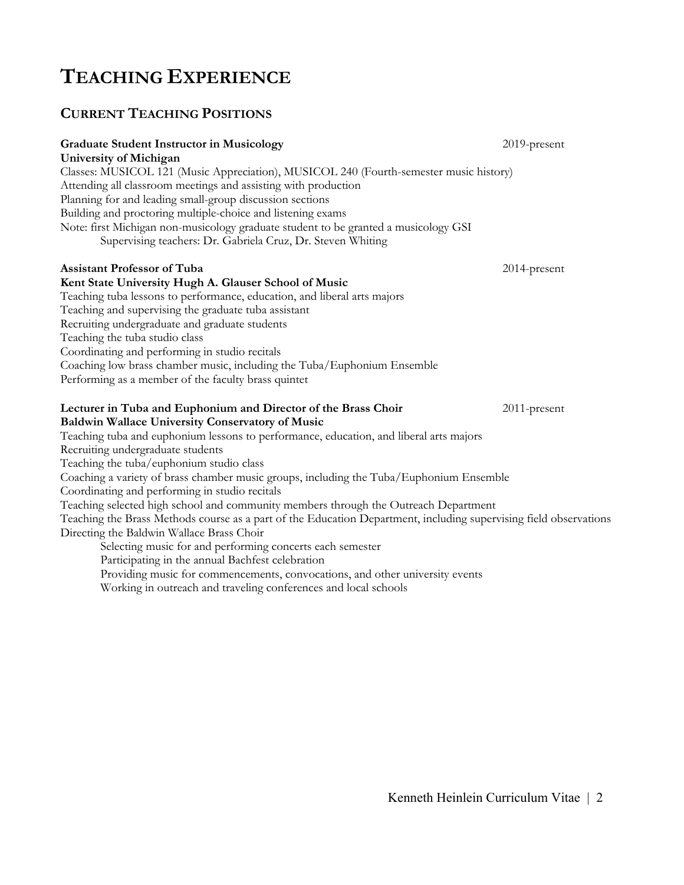# **TEACHING EXPERIENCE**

### **CURRENT TEACHING POSITIONS**

#### **Graduate Student Instructor in Musicology 2019-present 2019-present University of Michigan** Classes: MUSICOL 121 (Music Appreciation), MUSICOL 240 (Fourth-semester music history) Attending all classroom meetings and assisting with production Planning for and leading small-group discussion sections Building and proctoring multiple-choice and listening exams Note: first Michigan non-musicology graduate student to be granted a musicology GSI Supervising teachers: Dr. Gabriela Cruz, Dr. Steven Whiting **Assistant Professor of Tuba** 2014-present **Kent State University Hugh A. Glauser School of Music** Teaching tuba lessons to performance, education, and liberal arts majors Teaching and supervising the graduate tuba assistant Recruiting undergraduate and graduate students Teaching the tuba studio class Coordinating and performing in studio recitals Coaching low brass chamber music, including the Tuba/Euphonium Ensemble Performing as a member of the faculty brass quintet **Lecturer in Tuba and Euphonium and Director of the Brass Choir** 2011-present **Baldwin Wallace University Conservatory of Music** Teaching tuba and euphonium lessons to performance, education, and liberal arts majors Recruiting undergraduate students Teaching the tuba/euphonium studio class Coaching a variety of brass chamber music groups, including the Tuba/Euphonium Ensemble Coordinating and performing in studio recitals Teaching selected high school and community members through the Outreach Department Teaching the Brass Methods course as a part of the Education Department, including supervising field observations Directing the Baldwin Wallace Brass Choir Selecting music for and performing concerts each semester Participating in the annual Bachfest celebration

Providing music for commencements, convocations, and other university events

Working in outreach and traveling conferences and local schools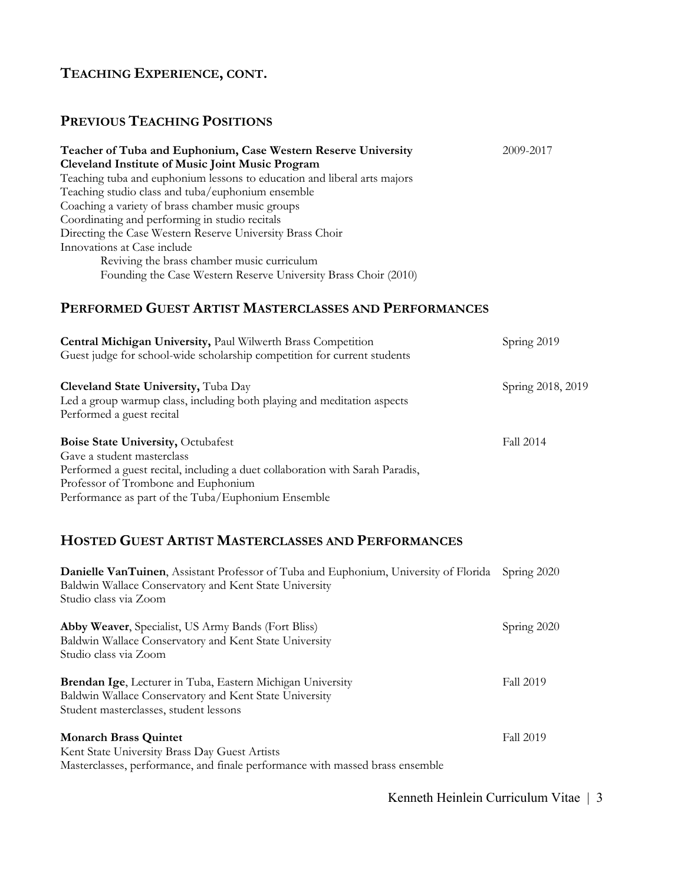### **PREVIOUS TEACHING POSITIONS**

| Teacher of Tuba and Euphonium, Case Western Reserve University           | 2009-2017 |
|--------------------------------------------------------------------------|-----------|
| <b>Cleveland Institute of Music Joint Music Program</b>                  |           |
| Teaching tuba and euphonium lessons to education and liberal arts majors |           |
| Teaching studio class and tuba/euphonium ensemble                        |           |
| Coaching a variety of brass chamber music groups                         |           |
| Coordinating and performing in studio recitals                           |           |
| Directing the Case Western Reserve University Brass Choir                |           |
| Innovations at Case include                                              |           |
| Reviving the brass chamber music curriculum                              |           |
| Founding the Case Western Reserve University Brass Choir (2010)          |           |

### **PERFORMED GUEST ARTIST MASTERCLASSES AND PERFORMANCES**

| Central Michigan University, Paul Wilwerth Brass Competition<br>Guest judge for school-wide scholarship competition for current students                                                                                                              | Spring 2019       |
|-------------------------------------------------------------------------------------------------------------------------------------------------------------------------------------------------------------------------------------------------------|-------------------|
| Cleveland State University, Tuba Day<br>Led a group warmup class, including both playing and meditation aspects<br>Performed a guest recital                                                                                                          | Spring 2018, 2019 |
| <b>Boise State University, Octubafest</b><br>Gave a student masterclass<br>Performed a guest recital, including a duet collaboration with Sarah Paradis,<br>Professor of Trombone and Euphonium<br>Performance as part of the Tuba/Euphonium Ensemble | <b>Fall 2014</b>  |
| <b>HOSTED GUEST ARTIST MASTERCLASSES AND PERFORMANCES</b>                                                                                                                                                                                             |                   |
| <b>Danielle VanTuinen</b> , Assistant Professor of Tuba and Euphonium, University of Florida<br>Baldwin Wallace Conservatory and Kent State University<br>Studio class via Zoom                                                                       | Spring 2020       |
| <b>Abby Weaver, Specialist, US Army Bands (Fort Bliss)</b><br>Baldwin Wallace Conservatory and Kent State University<br>Studio class via Zoom                                                                                                         | Spring 2020       |
| Brendan Ige, Lecturer in Tuba, Eastern Michigan University<br>Baldwin Wallace Conservatory and Kent State University<br>Student masterclasses, student lessons                                                                                        | <b>Fall 2019</b>  |

#### **Monarch Brass Quintet** Fall 2019 Kent State University Brass Day Guest Artists Masterclasses, performance, and finale performance with massed brass ensemble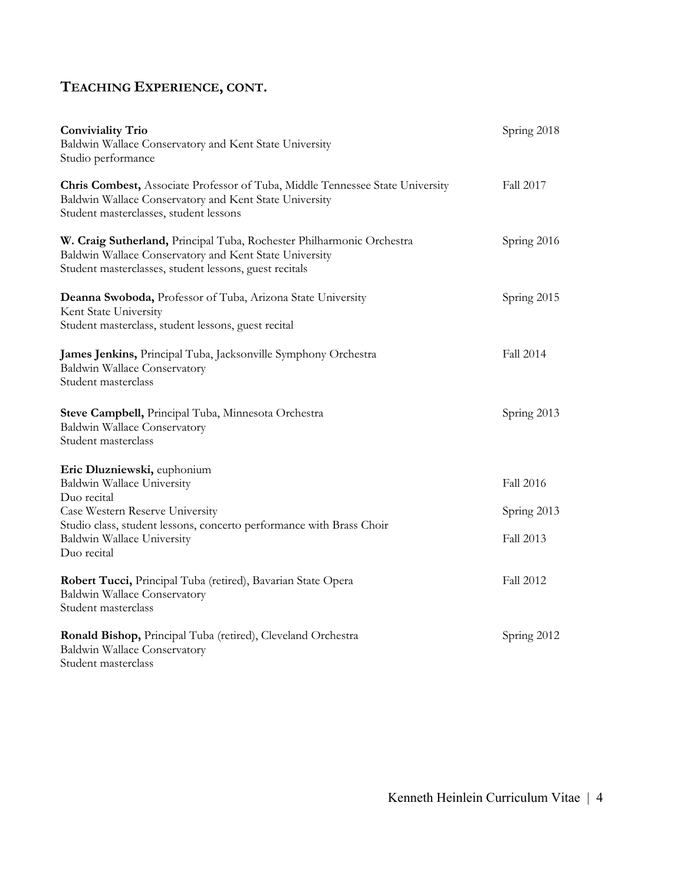| <b>Conviviality Trio</b><br>Baldwin Wallace Conservatory and Kent State University<br>Studio performance                                                                                                                         | Spring 2018                           |
|----------------------------------------------------------------------------------------------------------------------------------------------------------------------------------------------------------------------------------|---------------------------------------|
| Chris Combest, Associate Professor of Tuba, Middle Tennessee State University<br>Baldwin Wallace Conservatory and Kent State University<br>Student masterclasses, student lessons                                                | Fall 2017                             |
| W. Craig Sutherland, Principal Tuba, Rochester Philharmonic Orchestra<br>Baldwin Wallace Conservatory and Kent State University<br>Student masterclasses, student lessons, guest recitals                                        | Spring 2016                           |
| Deanna Swoboda, Professor of Tuba, Arizona State University<br>Kent State University<br>Student masterclass, student lessons, guest recital                                                                                      | Spring 2015                           |
| James Jenkins, Principal Tuba, Jacksonville Symphony Orchestra<br>Baldwin Wallace Conservatory<br>Student masterclass                                                                                                            | Fall 2014                             |
| Steve Campbell, Principal Tuba, Minnesota Orchestra<br><b>Baldwin Wallace Conservatory</b><br>Student masterclass                                                                                                                | Spring 2013                           |
| Eric Dluzniewski, euphonium<br>Baldwin Wallace University<br>Duo recital<br>Case Western Reserve University<br>Studio class, student lessons, concerto performance with Brass Choir<br>Baldwin Wallace University<br>Duo recital | Fall 2016<br>Spring 2013<br>Fall 2013 |
| Robert Tucci, Principal Tuba (retired), Bavarian State Opera<br>Baldwin Wallace Conservatory<br>Student masterclass                                                                                                              | Fall 2012                             |
| Ronald Bishop, Principal Tuba (retired), Cleveland Orchestra<br>Baldwin Wallace Conservatory<br>Student masterclass                                                                                                              | Spring 2012                           |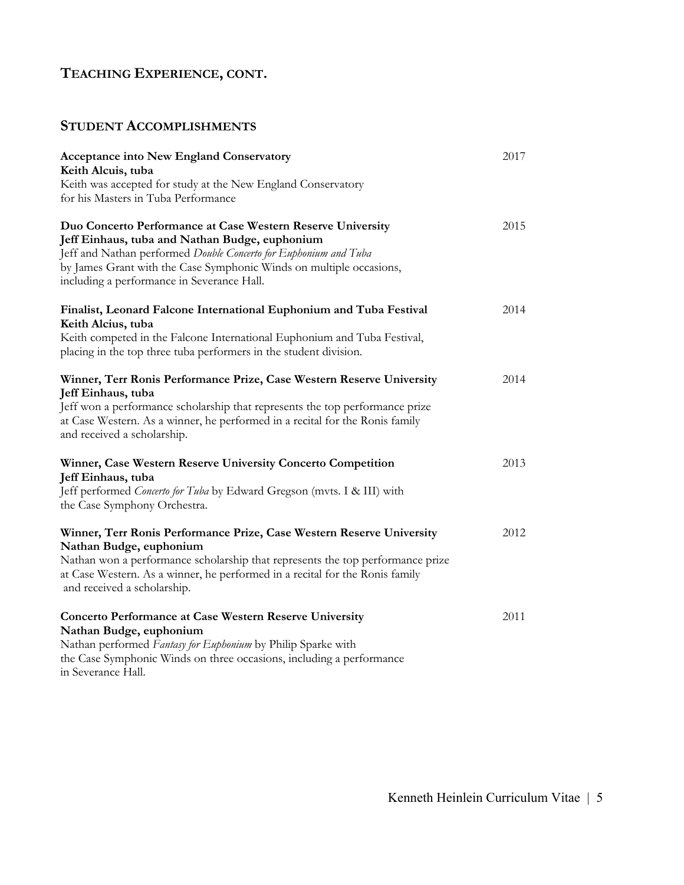## **STUDENT ACCOMPLISHMENTS**

| <b>Acceptance into New England Conservatory</b><br>Keith Alcuis, tuba                                                                                                                                                                                                                                  | 2017 |
|--------------------------------------------------------------------------------------------------------------------------------------------------------------------------------------------------------------------------------------------------------------------------------------------------------|------|
| Keith was accepted for study at the New England Conservatory<br>for his Masters in Tuba Performance                                                                                                                                                                                                    |      |
| Duo Concerto Performance at Case Western Reserve University<br>Jeff Einhaus, tuba and Nathan Budge, euphonium<br>Jeff and Nathan performed Double Concerto for Euphonium and Tuba<br>by James Grant with the Case Symphonic Winds on multiple occasions,<br>including a performance in Severance Hall. | 2015 |
| Finalist, Leonard Falcone International Euphonium and Tuba Festival<br>Keith Alcius, tuba<br>Keith competed in the Falcone International Euphonium and Tuba Festival,<br>placing in the top three tuba performers in the student division.                                                             | 2014 |
| Winner, Terr Ronis Performance Prize, Case Western Reserve University<br>Jeff Einhaus, tuba<br>Jeff won a performance scholarship that represents the top performance prize<br>at Case Western. As a winner, he performed in a recital for the Ronis family<br>and received a scholarship.             | 2014 |
| Winner, Case Western Reserve University Concerto Competition<br>Jeff Einhaus, tuba<br>Jeff performed Concerto for Tuba by Edward Gregson (mvts. I & III) with<br>the Case Symphony Orchestra.                                                                                                          | 2013 |
| Winner, Terr Ronis Performance Prize, Case Western Reserve University<br>Nathan Budge, euphonium<br>Nathan won a performance scholarship that represents the top performance prize<br>at Case Western. As a winner, he performed in a recital for the Ronis family<br>and received a scholarship.      | 2012 |
| <b>Concerto Performance at Case Western Reserve University</b><br>Nathan Budge, euphonium<br>Nathan performed Fantasy for Euphonium by Philip Sparke with<br>the Case Symphonic Winds on three occasions, including a performance<br>in Severance Hall.                                                | 2011 |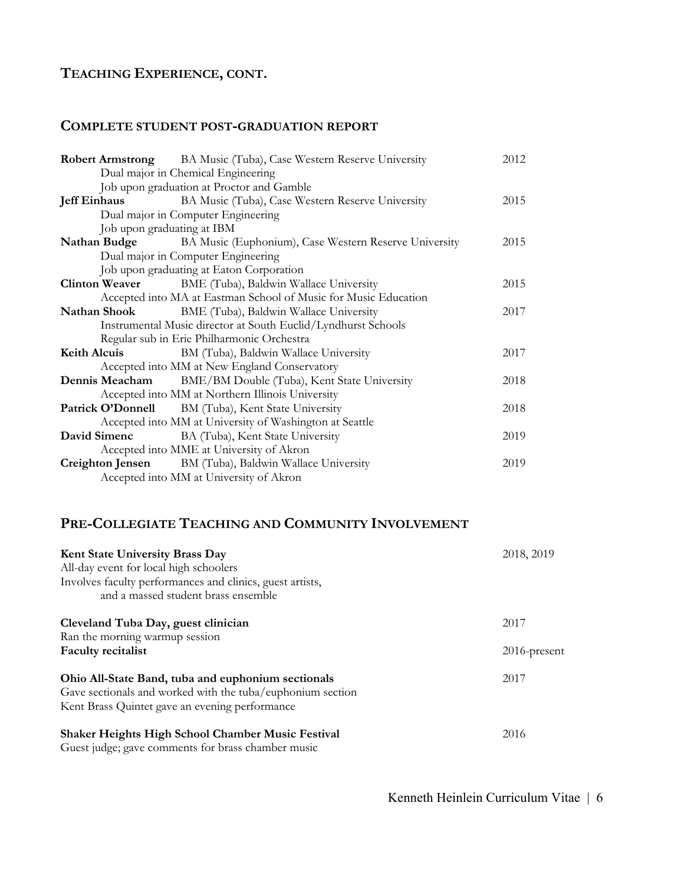#### **COMPLETE STUDENT POST-GRADUATION REPORT**

|                            | <b>Robert Armstrong</b> BA Music (Tuba), Case Western Reserve University  | 2012 |
|----------------------------|---------------------------------------------------------------------------|------|
|                            | Dual major in Chemical Engineering                                        |      |
|                            | Job upon graduation at Proctor and Gamble                                 |      |
| <b>Jeff Einhaus</b>        | BA Music (Tuba), Case Western Reserve University                          | 2015 |
|                            | Dual major in Computer Engineering                                        |      |
| Job upon graduating at IBM |                                                                           |      |
|                            | <b>Nathan Budge</b> BA Music (Euphonium), Case Western Reserve University | 2015 |
|                            | Dual major in Computer Engineering                                        |      |
|                            | Job upon graduating at Eaton Corporation                                  |      |
|                            | <b>Clinton Weaver</b> BME (Tuba), Baldwin Wallace University              | 2015 |
|                            | Accepted into MA at Eastman School of Music for Music Education           |      |
| Nathan Shook               | BME (Tuba), Baldwin Wallace University                                    | 2017 |
|                            | Instrumental Music director at South Euclid/Lyndhurst Schools             |      |
|                            | Regular sub in Erie Philharmonic Orchestra                                |      |
|                            | Keith Alcuis BM (Tuba), Baldwin Wallace University                        | 2017 |
|                            | Accepted into MM at New England Conservatory                              |      |
|                            | <b>Dennis Meacham</b> BME/BM Double (Tuba), Kent State University         | 2018 |
|                            | Accepted into MM at Northern Illinois University                          |      |
|                            | Patrick O'Donnell BM (Tuba), Kent State University                        | 2018 |
|                            | Accepted into MM at University of Washington at Seattle                   |      |
|                            | <b>David Simenc</b> BA (Tuba), Kent State University                      | 2019 |
|                            | Accepted into MME at University of Akron                                  |      |
|                            | <b>Creighton Jensen</b> BM (Tuba), Baldwin Wallace University             | 2019 |
|                            | Accepted into MM at University of Akron                                   |      |

## **PRE-COLLEGIATE TEACHING AND COMMUNITY INVOLVEMENT**

| <b>Kent State University Brass Day</b><br>All-day event for local high schoolers<br>Involves faculty performances and clinics, guest artists,<br>and a massed student brass ensemble | 2018, 2019      |  |
|--------------------------------------------------------------------------------------------------------------------------------------------------------------------------------------|-----------------|--|
| Cleveland Tuba Day, guest clinician                                                                                                                                                  | 2017            |  |
| Ran the morning warmup session                                                                                                                                                       |                 |  |
| <b>Faculty recitalist</b>                                                                                                                                                            | $2016$ -present |  |
| Ohio All-State Band, tuba and euphonium sectionals<br>Gave sectionals and worked with the tuba/euphonium section<br>Kent Brass Quintet gave an evening performance                   | 2017            |  |
| <b>Shaker Heights High School Chamber Music Festival</b><br>Guest judge; gave comments for brass chamber music                                                                       | 2016            |  |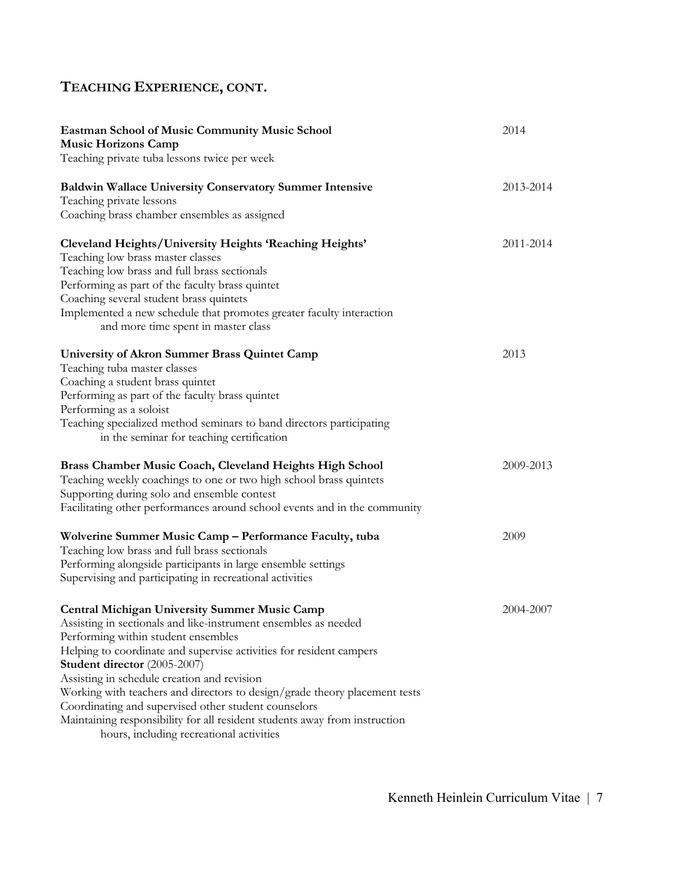| <b>Eastman School of Music Community Music School</b><br><b>Music Horizons Camp</b>                                                                                                                                                                                                                                  | 2014      |
|----------------------------------------------------------------------------------------------------------------------------------------------------------------------------------------------------------------------------------------------------------------------------------------------------------------------|-----------|
| Teaching private tuba lessons twice per week                                                                                                                                                                                                                                                                         |           |
| <b>Baldwin Wallace University Conservatory Summer Intensive</b><br>Teaching private lessons<br>Coaching brass chamber ensembles as assigned                                                                                                                                                                          | 2013-2014 |
|                                                                                                                                                                                                                                                                                                                      |           |
| <b>Cleveland Heights/University Heights 'Reaching Heights'</b><br>Teaching low brass master classes<br>Teaching low brass and full brass sectionals                                                                                                                                                                  | 2011-2014 |
| Performing as part of the faculty brass quintet<br>Coaching several student brass quintets                                                                                                                                                                                                                           |           |
| Implemented a new schedule that promotes greater faculty interaction<br>and more time spent in master class                                                                                                                                                                                                          |           |
| University of Akron Summer Brass Quintet Camp<br>Teaching tuba master classes<br>Coaching a student brass quintet<br>Performing as part of the faculty brass quintet<br>Performing as a soloist<br>Teaching specialized method seminars to band directors participating<br>in the seminar for teaching certification | 2013      |
| Brass Chamber Music Coach, Cleveland Heights High School<br>Teaching weekly coachings to one or two high school brass quintets<br>Supporting during solo and ensemble contest<br>Facilitating other performances around school events and in the community                                                           | 2009-2013 |
| Wolverine Summer Music Camp - Performance Faculty, tuba<br>Teaching low brass and full brass sectionals<br>Performing alongside participants in large ensemble settings<br>Supervising and participating in recreational activities                                                                                  | 2009      |
| <b>Central Michigan University Summer Music Camp</b><br>Assisting in sectionals and like-instrument ensembles as needed<br>Performing within student ensembles<br>Helping to coordinate and supervise activities for resident campers<br>Student director (2005-2007)                                                | 2004-2007 |
| Assisting in schedule creation and revision<br>Working with teachers and directors to design/grade theory placement tests<br>Coordinating and supervised other student counselors<br>Maintaining responsibility for all resident students away from instruction<br>hours, including recreational activities          |           |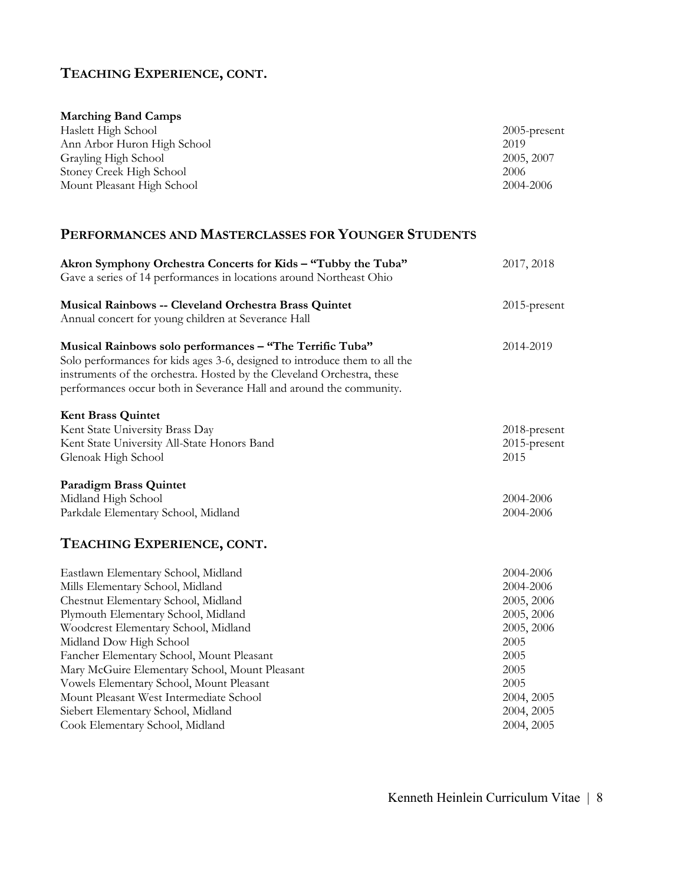| <b>Marching Band Camps</b>  |                 |
|-----------------------------|-----------------|
| Haslett High School         | $2005$ -present |
| Ann Arbor Huron High School | 2019            |
| Grayling High School        | 2005, 2007      |
| Stoney Creek High School    | 2006            |
| Mount Pleasant High School  | 2004-2006       |

### **PERFORMANCES AND MASTERCLASSES FOR YOUNGER STUDENTS**

| Akron Symphony Orchestra Concerts for Kids - "Tubby the Tuba"                                                                                                                                                                                                                           | 2017, 2018   |
|-----------------------------------------------------------------------------------------------------------------------------------------------------------------------------------------------------------------------------------------------------------------------------------------|--------------|
| Gave a series of 14 performances in locations around Northeast Ohio                                                                                                                                                                                                                     |              |
| Musical Rainbows -- Cleveland Orchestra Brass Quintet<br>Annual concert for young children at Severance Hall                                                                                                                                                                            | 2015-present |
| Musical Rainbows solo performances - "The Terrific Tuba"<br>Solo performances for kids ages 3-6, designed to introduce them to all the<br>instruments of the orchestra. Hosted by the Cleveland Orchestra, these<br>performances occur both in Severance Hall and around the community. | 2014-2019    |
| <b>Kent Brass Quintet</b>                                                                                                                                                                                                                                                               |              |
| Kent State University Brass Day                                                                                                                                                                                                                                                         | 2018-present |
| Kent State University All-State Honors Band                                                                                                                                                                                                                                             | 2015-present |
| Glenoak High School                                                                                                                                                                                                                                                                     | 2015         |
| <b>Paradigm Brass Quintet</b>                                                                                                                                                                                                                                                           |              |
| Midland High School                                                                                                                                                                                                                                                                     | 2004-2006    |
| Parkdale Elementary School, Midland                                                                                                                                                                                                                                                     | 2004-2006    |
| TEACHING EXPERIENCE, CONT.                                                                                                                                                                                                                                                              |              |
| Eastlawn Elementary School, Midland                                                                                                                                                                                                                                                     | 2004-2006    |
| Mills Elementary School, Midland                                                                                                                                                                                                                                                        | 2004-2006    |
| Chestnut Elementary School, Midland                                                                                                                                                                                                                                                     | 2005, 2006   |
| Plymouth Elementary School, Midland                                                                                                                                                                                                                                                     | 2005, 2006   |
| Woodcrest Elementary School, Midland                                                                                                                                                                                                                                                    | 2005, 2006   |
| Midland Dow High School                                                                                                                                                                                                                                                                 | 2005         |
| Fancher Elementary School, Mount Pleasant                                                                                                                                                                                                                                               | 2005         |
| Mary McGuire Elementary School, Mount Pleasant                                                                                                                                                                                                                                          | 2005         |
| Vowels Elementary School, Mount Pleasant                                                                                                                                                                                                                                                | 2005         |
| Mount Pleasant West Intermediate School                                                                                                                                                                                                                                                 | 2004, 2005   |
| Siebert Elementary School, Midland                                                                                                                                                                                                                                                      | 2004, 2005   |
| Cook Elementary School, Midland                                                                                                                                                                                                                                                         | 2004, 2005   |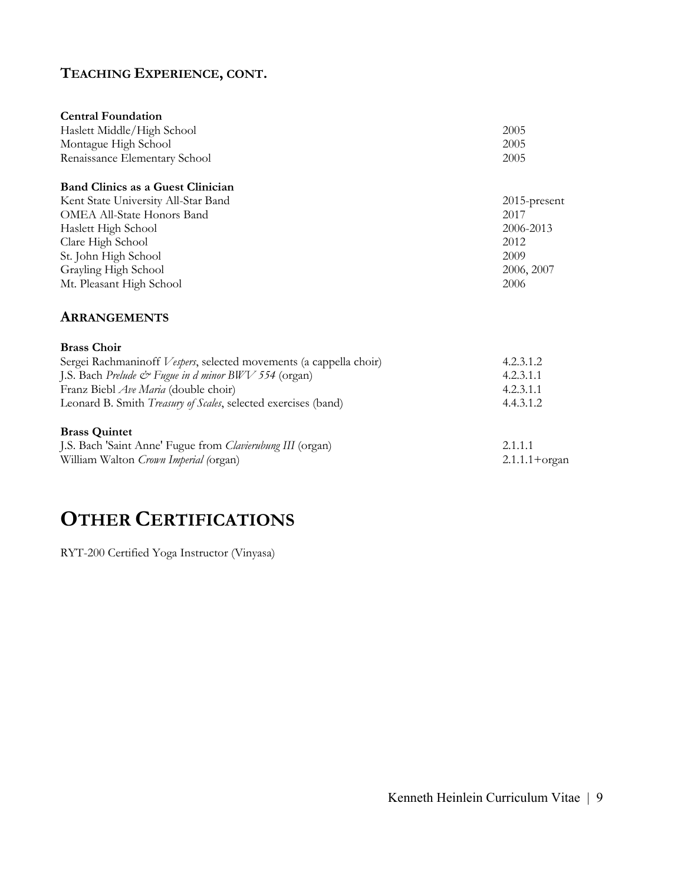| <b>Central Foundation</b>           |                 |
|-------------------------------------|-----------------|
| Haslett Middle/High School          | 2005            |
| Montague High School                | 2005            |
| Renaissance Elementary School       | 2005            |
| Band Clinics as a Guest Clinician   |                 |
| Kent State University All-Star Band | $2015$ -present |
| OMEA All-State Honors Band          | 2017            |
| Haslett High School                 | 2006-2013       |
| Clare High School                   | 2012            |
| St. John High School                | 2009            |
| Grayling High School                | 2006, 2007      |
| Mt. Pleasant High School            | 2006            |
| <b>ARRANGEMENTS</b>                 |                 |

| <b>Brass Choir</b>                                                 |                          |
|--------------------------------------------------------------------|--------------------------|
| Sergei Rachmaninoff Vespers, selected movements (a cappella choir) | 4.2.3.1.2                |
| J.S. Bach Prelude & Fugue in d minor BWV 554 (organ)               | 4.2.3.1.1                |
| Franz Biebl <i>Ave Maria</i> (double choir)                        | 4.2.3.1.1                |
| Leonard B. Smith Treasury of Scales, selected exercises (band)     | 4.4.3.1.2                |
| <b>Brass Quintet</b>                                               |                          |
| J.S. Bach 'Saint Anne' Fugue from Clavierubung III (organ)         | 2.1.1.1                  |
| William Walton Crown Imperial (organ)                              | $2.1.1.1 + \text{organ}$ |

# **OTHER CERTIFICATIONS**

RYT-200 Certified Yoga Instructor (Vinyasa)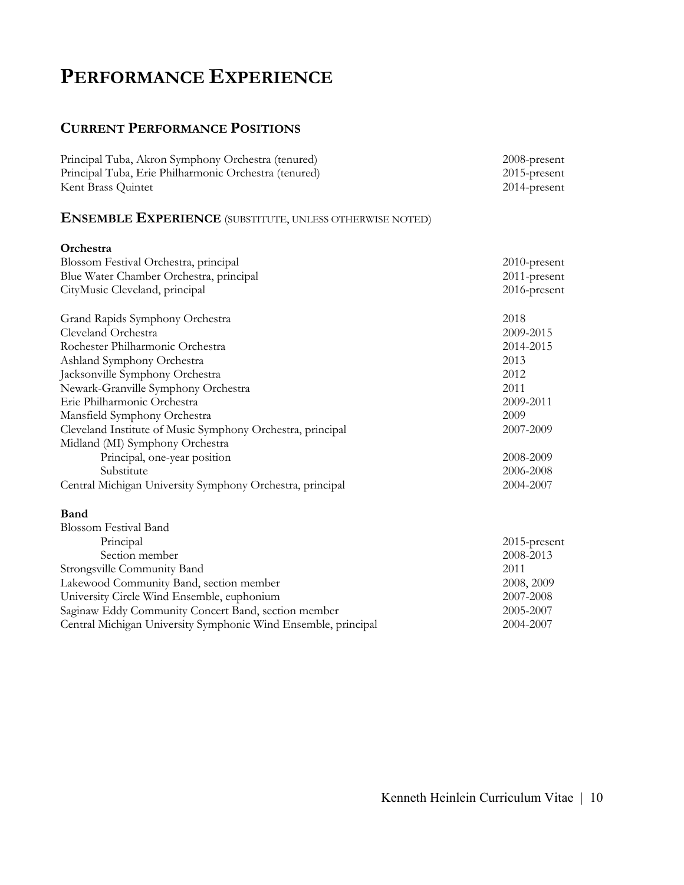# **PERFORMANCE EXPERIENCE**

## **CURRENT PERFORMANCE POSITIONS**

| Principal Tuba, Akron Symphony Orchestra (tenured)<br>Principal Tuba, Erie Philharmonic Orchestra (tenured)<br>Kent Brass Quintet | 2008-present<br>2015-present<br>2014-present |
|-----------------------------------------------------------------------------------------------------------------------------------|----------------------------------------------|
| <b>ENSEMBLE EXPERIENCE</b> (SUBSTITUTE, UNLESS OTHERWISE NOTED)                                                                   |                                              |
| Orchestra                                                                                                                         |                                              |
| Blossom Festival Orchestra, principal                                                                                             | 2010-present                                 |
| Blue Water Chamber Orchestra, principal                                                                                           | 2011-present                                 |
| CityMusic Cleveland, principal                                                                                                    | 2016-present                                 |
| Grand Rapids Symphony Orchestra                                                                                                   | 2018                                         |
| Cleveland Orchestra                                                                                                               | 2009-2015                                    |
| Rochester Philharmonic Orchestra                                                                                                  | 2014-2015                                    |
| Ashland Symphony Orchestra                                                                                                        | 2013                                         |
| Jacksonville Symphony Orchestra                                                                                                   | 2012                                         |
| Newark-Granville Symphony Orchestra                                                                                               | 2011                                         |
| Erie Philharmonic Orchestra                                                                                                       | 2009-2011                                    |
| Mansfield Symphony Orchestra                                                                                                      | 2009                                         |
| Cleveland Institute of Music Symphony Orchestra, principal                                                                        | 2007-2009                                    |
| Midland (MI) Symphony Orchestra                                                                                                   |                                              |
| Principal, one-year position                                                                                                      | 2008-2009                                    |
| Substitute                                                                                                                        | 2006-2008                                    |
| Central Michigan University Symphony Orchestra, principal                                                                         | 2004-2007                                    |
| Band                                                                                                                              |                                              |
| <b>Blossom Festival Band</b>                                                                                                      |                                              |
| Principal                                                                                                                         | 2015-present                                 |
| Section member                                                                                                                    | 2008-2013                                    |
| Strongsville Community Band<br>2011                                                                                               |                                              |
| Lakewood Community Band, section member<br>2008, 2009                                                                             |                                              |
| University Circle Wind Ensemble, euphonium<br>2007-2008<br>2005-2007                                                              |                                              |
| Saginaw Eddy Community Concert Band, section member                                                                               |                                              |
| Central Michigan University Symphonic Wind Ensemble, principal                                                                    | 2004-2007                                    |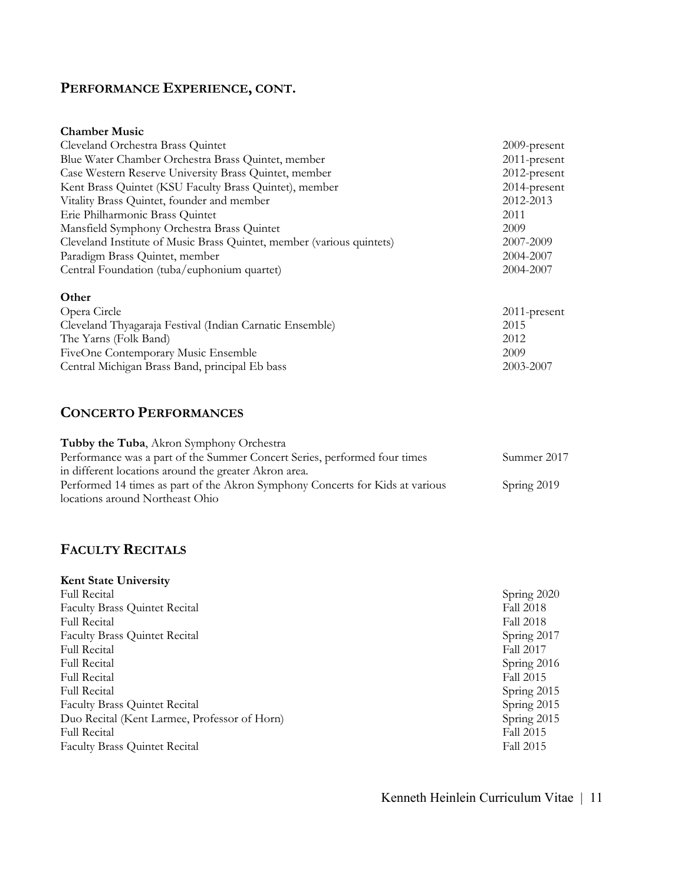# **PERFORMANCE EXPERIENCE, CONT.**

#### **Chamber Music**

| Cleveland Orchestra Brass Quintet                                     | $2009$ -present |
|-----------------------------------------------------------------------|-----------------|
| Blue Water Chamber Orchestra Brass Quintet, member                    | 2011-present    |
| Case Western Reserve University Brass Quintet, member                 | 2012-present    |
| Kent Brass Quintet (KSU Faculty Brass Quintet), member                | 2014-present    |
| Vitality Brass Quintet, founder and member                            | 2012-2013       |
| Erie Philharmonic Brass Quintet                                       | 2011            |
| Mansfield Symphony Orchestra Brass Quintet                            | 2009            |
| Cleveland Institute of Music Brass Quintet, member (various quintets) | 2007-2009       |
| Paradigm Brass Quintet, member                                        | 2004-2007       |
| Central Foundation (tuba/euphonium quartet)                           | 2004-2007       |
| Other                                                                 |                 |
| Opera Circle                                                          | $2011$ -present |
| Cleveland Thyagaraja Festival (Indian Carnatic Ensemble)              | 2015            |
| The Yarns (Folk Band)                                                 | 2012            |
| FiveOne Contemporary Music Ensemble                                   | 2009            |
| Central Michigan Brass Band, principal Eb bass                        | 2003-2007       |

### **CONCERTO PERFORMANCES**

| <b>Tubby the Tuba, Akron Symphony Orchestra</b>                               |             |
|-------------------------------------------------------------------------------|-------------|
| Performance was a part of the Summer Concert Series, performed four times     | Summer 2017 |
| in different locations around the greater Akron area.                         |             |
| Performed 14 times as part of the Akron Symphony Concerts for Kids at various | Spring 2019 |
| locations around Northeast Ohio                                               |             |

## **FACULTY RECITALS**

| <b>Kent State University</b>                 |                  |
|----------------------------------------------|------------------|
| <b>Full Recital</b>                          | Spring 2020      |
| <b>Faculty Brass Quintet Recital</b>         | Fall 2018        |
| <b>Full Recital</b>                          | <b>Fall 2018</b> |
| <b>Faculty Brass Quintet Recital</b>         | Spring 2017      |
| <b>Full Recital</b>                          | <b>Fall 2017</b> |
| <b>Full Recital</b>                          | Spring 2016      |
| <b>Full Recital</b>                          | Fall 2015        |
| <b>Full Recital</b>                          | Spring 2015      |
| <b>Faculty Brass Quintet Recital</b>         | Spring 2015      |
| Duo Recital (Kent Larmee, Professor of Horn) | Spring 2015      |
| <b>Full Recital</b>                          | Fall 2015        |
| <b>Faculty Brass Quintet Recital</b>         | Fall 2015        |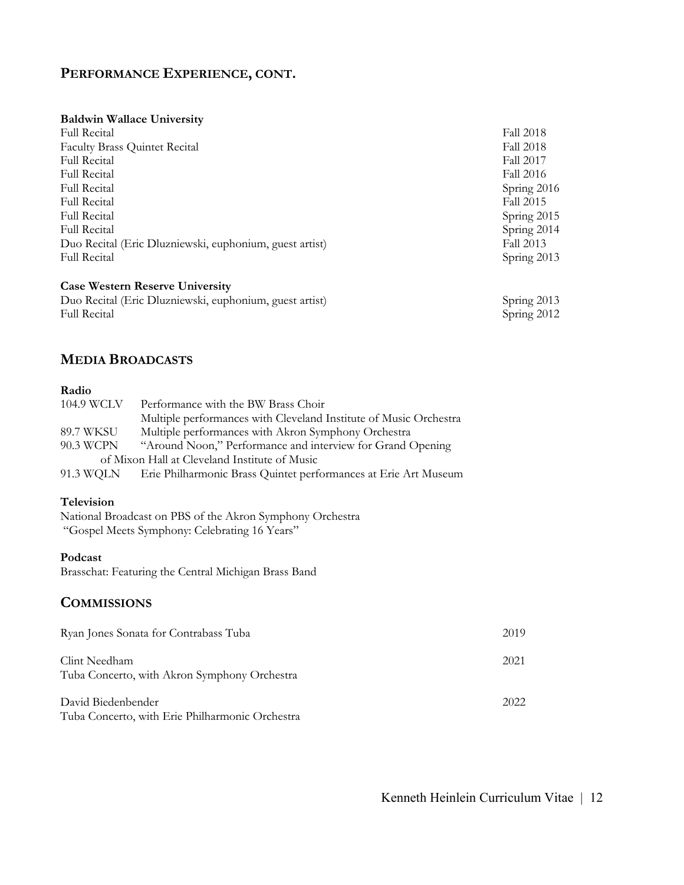### **PERFORMANCE EXPERIENCE, CONT.**

#### **Baldwin Wallace University**

| <b>Full Recital</b>                                     | <b>Fall 2018</b> |
|---------------------------------------------------------|------------------|
| <b>Faculty Brass Quintet Recital</b>                    | Fall 2018        |
| <b>Full Recital</b>                                     | <b>Fall 2017</b> |
| <b>Full Recital</b>                                     | Fall 2016        |
| <b>Full Recital</b>                                     | Spring 2016      |
| <b>Full Recital</b>                                     | Fall 2015        |
| <b>Full Recital</b>                                     | Spring 2015      |
| <b>Full Recital</b>                                     | Spring 2014      |
| Duo Recital (Eric Dluzniewski, euphonium, guest artist) | Fall 2013        |
| <b>Full Recital</b>                                     | Spring 2013      |
| <b>Case Western Reserve University</b>                  |                  |

| Duo Recital (Eric Dluzniewski, euphonium, guest artist) | Spring $2013$ |
|---------------------------------------------------------|---------------|
| <b>Full Recital</b>                                     | Spring $2012$ |

#### **MEDIA BROADCASTS**

#### **Radio**

| 104.9 WCLV                                    | Performance with the BW Brass Choir                               |  |
|-----------------------------------------------|-------------------------------------------------------------------|--|
|                                               | Multiple performances with Cleveland Institute of Music Orchestra |  |
| 89.7 WKSU                                     | Multiple performances with Akron Symphony Orchestra               |  |
| 90.3 WCPN                                     | "Around Noon," Performance and interview for Grand Opening        |  |
| of Mixon Hall at Cleveland Institute of Music |                                                                   |  |
| 91.3 WQLN                                     | Erie Philharmonic Brass Quintet performances at Erie Art Museum   |  |

#### **Television**

National Broadcast on PBS of the Akron Symphony Orchestra "Gospel Meets Symphony: Celebrating 16 Years"

#### **Podcast**

Brasschat: Featuring the Central Michigan Brass Band

#### **COMMISSIONS**

| Ryan Jones Sonata for Contrabass Tuba                                 | 2019 |
|-----------------------------------------------------------------------|------|
| Clint Needham<br>Tuba Concerto, with Akron Symphony Orchestra         | 2021 |
| David Biedenbender<br>Tuba Concerto, with Erie Philharmonic Orchestra | 2022 |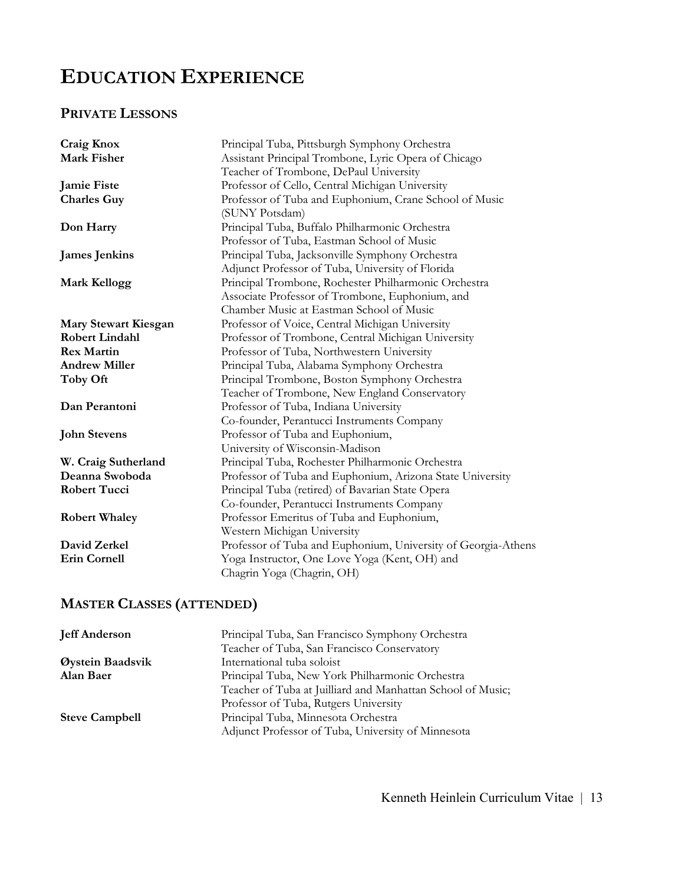# **EDUCATION EXPERIENCE**

# **PRIVATE LESSONS**

| Craig Knox            | Principal Tuba, Pittsburgh Symphony Orchestra                 |
|-----------------------|---------------------------------------------------------------|
| Mark Fisher           | Assistant Principal Trombone, Lyric Opera of Chicago          |
|                       | Teacher of Trombone, DePaul University                        |
| <b>Jamie Fiste</b>    | Professor of Cello, Central Michigan University               |
| <b>Charles Guy</b>    | Professor of Tuba and Euphonium, Crane School of Music        |
|                       | (SUNY Potsdam)                                                |
| Don Harry             | Principal Tuba, Buffalo Philharmonic Orchestra                |
|                       | Professor of Tuba, Eastman School of Music                    |
| <b>James Jenkins</b>  | Principal Tuba, Jacksonville Symphony Orchestra               |
|                       | Adjunct Professor of Tuba, University of Florida              |
| <b>Mark Kellogg</b>   | Principal Trombone, Rochester Philharmonic Orchestra          |
|                       | Associate Professor of Trombone, Euphonium, and               |
|                       | Chamber Music at Eastman School of Music                      |
| Mary Stewart Kiesgan  | Professor of Voice, Central Michigan University               |
| <b>Robert Lindahl</b> | Professor of Trombone, Central Michigan University            |
| <b>Rex Martin</b>     | Professor of Tuba, Northwestern University                    |
| <b>Andrew Miller</b>  | Principal Tuba, Alabama Symphony Orchestra                    |
| Toby Oft              | Principal Trombone, Boston Symphony Orchestra                 |
|                       | Teacher of Trombone, New England Conservatory                 |
| Dan Perantoni         | Professor of Tuba, Indiana University                         |
|                       | Co-founder, Perantucci Instruments Company                    |
| <b>John Stevens</b>   | Professor of Tuba and Euphonium,                              |
|                       | University of Wisconsin-Madison                               |
| W. Craig Sutherland   | Principal Tuba, Rochester Philharmonic Orchestra              |
| Deanna Swoboda        | Professor of Tuba and Euphonium, Arizona State University     |
| <b>Robert Tucci</b>   | Principal Tuba (retired) of Bavarian State Opera              |
|                       | Co-founder, Perantucci Instruments Company                    |
| <b>Robert Whaley</b>  | Professor Emeritus of Tuba and Euphonium,                     |
|                       | Western Michigan University                                   |
| David Zerkel          | Professor of Tuba and Euphonium, University of Georgia-Athens |
| <b>Erin Cornell</b>   | Yoga Instructor, One Love Yoga (Kent, OH) and                 |
|                       | Chagrin Yoga (Chagrin, OH)                                    |
|                       |                                                               |

# **MASTER CLASSES (ATTENDED)**

| Principal Tuba, San Francisco Symphony Orchestra            |
|-------------------------------------------------------------|
| Teacher of Tuba, San Francisco Conservatory                 |
| International tuba soloist                                  |
| Principal Tuba, New York Philharmonic Orchestra             |
| Teacher of Tuba at Juilliard and Manhattan School of Music; |
| Professor of Tuba, Rutgers University                       |
| Principal Tuba, Minnesota Orchestra                         |
| Adjunct Professor of Tuba, University of Minnesota          |
|                                                             |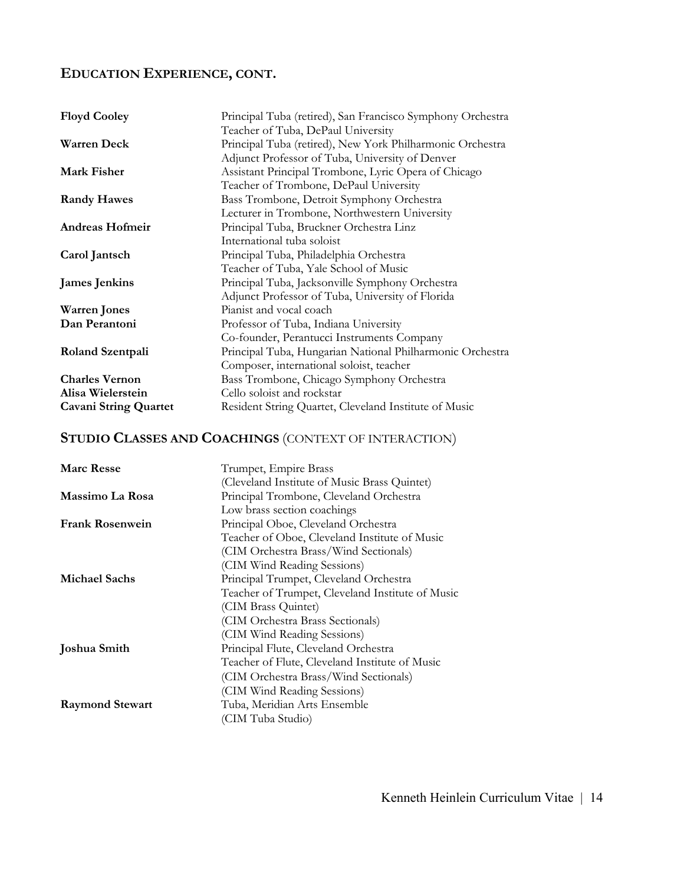## **EDUCATION EXPERIENCE, CONT.**

| <b>Floyd Cooley</b>          | Principal Tuba (retired), San Francisco Symphony Orchestra |
|------------------------------|------------------------------------------------------------|
|                              | Teacher of Tuba, DePaul University                         |
| <b>Warren Deck</b>           | Principal Tuba (retired), New York Philharmonic Orchestra  |
|                              | Adjunct Professor of Tuba, University of Denver            |
| <b>Mark Fisher</b>           | Assistant Principal Trombone, Lyric Opera of Chicago       |
|                              | Teacher of Trombone, DePaul University                     |
| <b>Randy Hawes</b>           | Bass Trombone, Detroit Symphony Orchestra                  |
|                              | Lecturer in Trombone, Northwestern University              |
| <b>Andreas Hofmeir</b>       | Principal Tuba, Bruckner Orchestra Linz                    |
|                              | International tuba soloist                                 |
| Carol Jantsch                | Principal Tuba, Philadelphia Orchestra                     |
|                              | Teacher of Tuba, Yale School of Music                      |
| <b>James Jenkins</b>         | Principal Tuba, Jacksonville Symphony Orchestra            |
|                              | Adjunct Professor of Tuba, University of Florida           |
| <b>Warren</b> Jones          | Pianist and vocal coach                                    |
| Dan Perantoni                | Professor of Tuba, Indiana University                      |
|                              | Co-founder, Perantucci Instruments Company                 |
| Roland Szentpali             | Principal Tuba, Hungarian National Philharmonic Orchestra  |
|                              | Composer, international soloist, teacher                   |
| <b>Charles Vernon</b>        | Bass Trombone, Chicago Symphony Orchestra                  |
| Alisa Wielerstein            | Cello soloist and rockstar                                 |
| <b>Cavani String Quartet</b> | Resident String Quartet, Cleveland Institute of Music      |

# **STUDIO CLASSES AND COACHINGS** (CONTEXT OF INTERACTION)

| Trumpet, Empire Brass<br><b>Marc Resse</b>                     |  |
|----------------------------------------------------------------|--|
| (Cleveland Institute of Music Brass Quintet)                   |  |
| Principal Trombone, Cleveland Orchestra<br>Massimo La Rosa     |  |
| Low brass section coachings                                    |  |
| <b>Frank Rosenwein</b><br>Principal Oboe, Cleveland Orchestra  |  |
| Teacher of Oboe, Cleveland Institute of Music                  |  |
| (CIM Orchestra Brass/Wind Sectionals)                          |  |
| (CIM Wind Reading Sessions)                                    |  |
| <b>Michael Sachs</b><br>Principal Trumpet, Cleveland Orchestra |  |
| Teacher of Trumpet, Cleveland Institute of Music               |  |
| (CIM Brass Quintet)                                            |  |
| (CIM Orchestra Brass Sectionals)                               |  |
| (CIM Wind Reading Sessions)                                    |  |
| Principal Flute, Cleveland Orchestra<br>Joshua Smith           |  |
| Teacher of Flute, Cleveland Institute of Music                 |  |
| (CIM Orchestra Brass/Wind Sectionals)                          |  |
| (CIM Wind Reading Sessions)                                    |  |
| Tuba, Meridian Arts Ensemble<br><b>Raymond Stewart</b>         |  |
| (CIM Tuba Studio)                                              |  |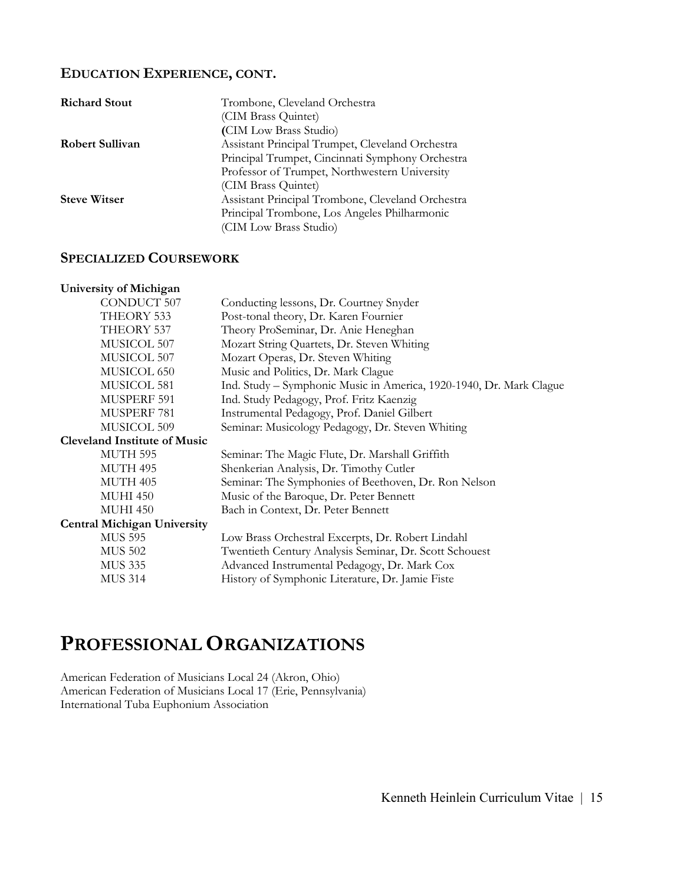#### **EDUCATION EXPERIENCE, CONT.**

| <b>Richard Stout</b>   | Trombone, Cleveland Orchestra                     |
|------------------------|---------------------------------------------------|
|                        | (CIM Brass Quintet)                               |
|                        | (CIM Low Brass Studio)                            |
| <b>Robert Sullivan</b> | Assistant Principal Trumpet, Cleveland Orchestra  |
|                        | Principal Trumpet, Cincinnati Symphony Orchestra  |
|                        | Professor of Trumpet, Northwestern University     |
|                        | (CIM Brass Quintet)                               |
| <b>Steve Witser</b>    | Assistant Principal Trombone, Cleveland Orchestra |
|                        | Principal Trombone, Los Angeles Philharmonic      |
|                        | (CIM Low Brass Studio)                            |

#### **SPECIALIZED COURSEWORK**

| University of Michigan              |                                                                     |
|-------------------------------------|---------------------------------------------------------------------|
| <b>CONDUCT 507</b>                  | Conducting lessons, Dr. Courtney Snyder                             |
| THEORY 533                          | Post-tonal theory, Dr. Karen Fournier                               |
| THEORY 537                          | Theory ProSeminar, Dr. Anie Heneghan                                |
| MUSICOL 507                         | Mozart String Quartets, Dr. Steven Whiting                          |
| MUSICOL 507                         | Mozart Operas, Dr. Steven Whiting                                   |
| MUSICOL 650                         | Music and Politics, Dr. Mark Clague                                 |
| MUSICOL 581                         | Ind. Study - Symphonic Music in America, 1920-1940, Dr. Mark Clague |
| MUSPERF 591                         | Ind. Study Pedagogy, Prof. Fritz Kaenzig                            |
| MUSPERF 781                         | Instrumental Pedagogy, Prof. Daniel Gilbert                         |
| MUSICOL 509                         | Seminar: Musicology Pedagogy, Dr. Steven Whiting                    |
| <b>Cleveland Institute of Music</b> |                                                                     |
| MUTH 595                            | Seminar: The Magic Flute, Dr. Marshall Griffith                     |
| MUTH 495                            | Shenkerian Analysis, Dr. Timothy Cutler                             |
| MUTH 405                            | Seminar: The Symphonies of Beethoven, Dr. Ron Nelson                |
| <b>MUHI 450</b>                     | Music of the Baroque, Dr. Peter Bennett                             |
| <b>MUHI 450</b>                     | Bach in Context, Dr. Peter Bennett                                  |
| <b>Central Michigan University</b>  |                                                                     |
| <b>MUS 595</b>                      | Low Brass Orchestral Excerpts, Dr. Robert Lindahl                   |
| <b>MUS 502</b>                      | Twentieth Century Analysis Seminar, Dr. Scott Schouest              |
| <b>MUS 335</b>                      | Advanced Instrumental Pedagogy, Dr. Mark Cox                        |
| <b>MUS 314</b>                      | History of Symphonic Literature, Dr. Jamie Fiste                    |

# **PROFESSIONAL ORGANIZATIONS**

American Federation of Musicians Local 24 (Akron, Ohio) American Federation of Musicians Local 17 (Erie, Pennsylvania) International Tuba Euphonium Association